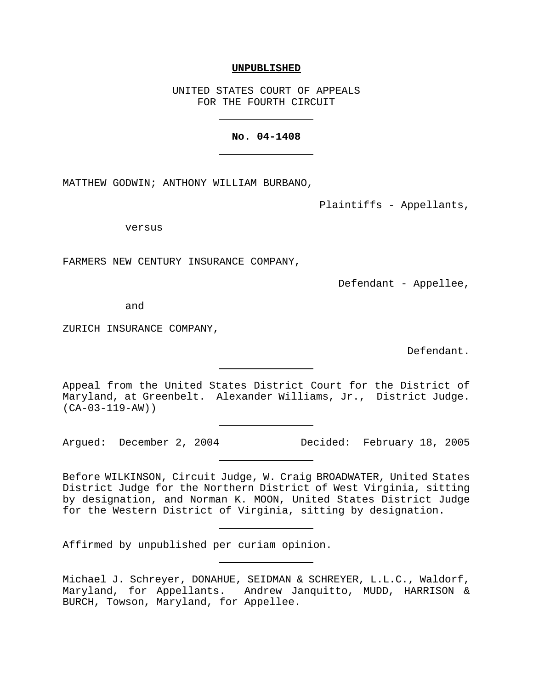#### **UNPUBLISHED**

UNITED STATES COURT OF APPEALS FOR THE FOURTH CIRCUIT

#### **No. 04-1408**

MATTHEW GODWIN; ANTHONY WILLIAM BURBANO,

Plaintiffs - Appellants,

versus

FARMERS NEW CENTURY INSURANCE COMPANY,

Defendant - Appellee,

and

ZURICH INSURANCE COMPANY,

Defendant.

Appeal from the United States District Court for the District of Maryland, at Greenbelt. Alexander Williams, Jr., District Judge. (CA-03-119-AW))

Argued: December 2, 2004 Decided: February 18, 2005

Before WILKINSON, Circuit Judge, W. Craig BROADWATER, United States District Judge for the Northern District of West Virginia, sitting by designation, and Norman K. MOON, United States District Judge for the Western District of Virginia, sitting by designation.

Affirmed by unpublished per curiam opinion.

Michael J. Schreyer, DONAHUE, SEIDMAN & SCHREYER, L.L.C., Waldorf, Maryland, for Appellants. Andrew Janquitto, MUDD, HARRISON & BURCH, Towson, Maryland, for Appellee.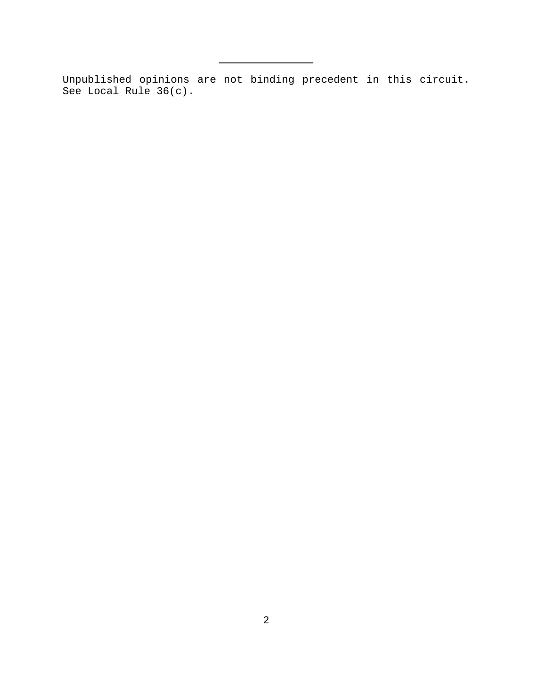Unpublished opinions are not binding precedent in this circuit. See Local Rule 36(c).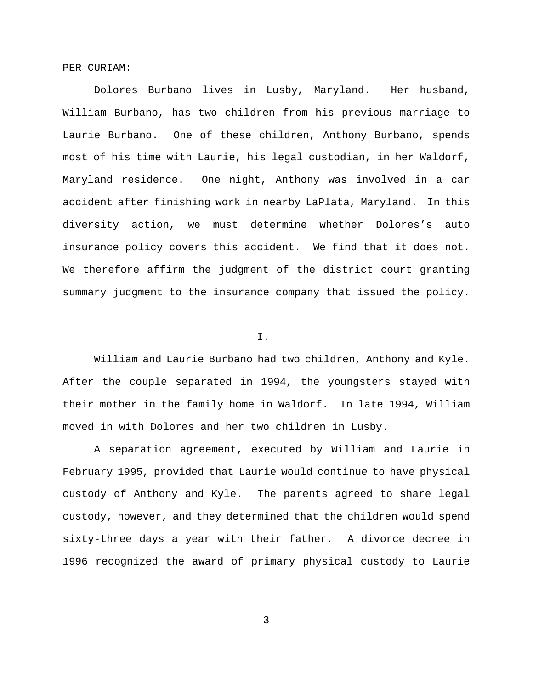PER CURIAM:

Dolores Burbano lives in Lusby, Maryland. Her husband, William Burbano, has two children from his previous marriage to Laurie Burbano. One of these children, Anthony Burbano, spends most of his time with Laurie, his legal custodian, in her Waldorf, Maryland residence. One night, Anthony was involved in a car accident after finishing work in nearby LaPlata, Maryland. In this diversity action, we must determine whether Dolores's auto insurance policy covers this accident. We find that it does not. We therefore affirm the judgment of the district court granting summary judgment to the insurance company that issued the policy.

I.

William and Laurie Burbano had two children, Anthony and Kyle. After the couple separated in 1994, the youngsters stayed with their mother in the family home in Waldorf. In late 1994, William moved in with Dolores and her two children in Lusby.

A separation agreement, executed by William and Laurie in February 1995, provided that Laurie would continue to have physical custody of Anthony and Kyle. The parents agreed to share legal custody, however, and they determined that the children would spend sixty-three days a year with their father. A divorce decree in 1996 recognized the award of primary physical custody to Laurie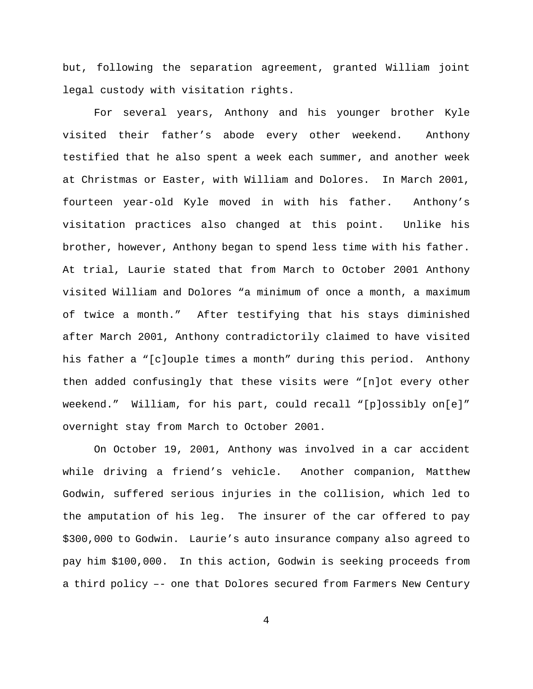but, following the separation agreement, granted William joint legal custody with visitation rights.

For several years, Anthony and his younger brother Kyle visited their father's abode every other weekend. Anthony testified that he also spent a week each summer, and another week at Christmas or Easter, with William and Dolores. In March 2001, fourteen year-old Kyle moved in with his father. Anthony's visitation practices also changed at this point. Unlike his brother, however, Anthony began to spend less time with his father. At trial, Laurie stated that from March to October 2001 Anthony visited William and Dolores "a minimum of once a month, a maximum of twice a month." After testifying that his stays diminished after March 2001, Anthony contradictorily claimed to have visited his father a "[c]ouple times a month" during this period. Anthony then added confusingly that these visits were "[n]ot every other weekend." William, for his part, could recall "[p]ossibly on[e]" overnight stay from March to October 2001.

On October 19, 2001, Anthony was involved in a car accident while driving a friend's vehicle. Another companion, Matthew Godwin, suffered serious injuries in the collision, which led to the amputation of his leg. The insurer of the car offered to pay \$300,000 to Godwin. Laurie's auto insurance company also agreed to pay him \$100,000. In this action, Godwin is seeking proceeds from a third policy –- one that Dolores secured from Farmers New Century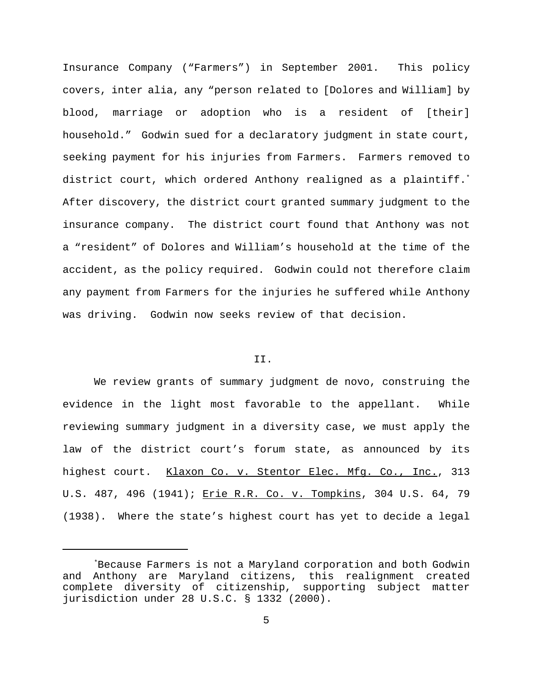Insurance Company ("Farmers") in September 2001. This policy covers, inter alia, any "person related to [Dolores and William] by blood, marriage or adoption who is a resident of [their] household." Godwin sued for a declaratory judgment in state court, seeking payment for his injuries from Farmers. Farmers removed to district court, which ordered Anthony realigned as a plaintiff.\* After discovery, the district court granted summary judgment to the insurance company. The district court found that Anthony was not a "resident" of Dolores and William's household at the time of the accident, as the policy required. Godwin could not therefore claim any payment from Farmers for the injuries he suffered while Anthony was driving. Godwin now seeks review of that decision.

# II.

We review grants of summary judgment de novo, construing the evidence in the light most favorable to the appellant. While reviewing summary judgment in a diversity case, we must apply the law of the district court's forum state, as announced by its highest court. Klaxon Co. v. Stentor Elec. Mfg. Co., Inc., 313 U.S. 487, 496 (1941); Erie R.R. Co. v. Tompkins, 304 U.S. 64, 79 (1938). Where the state's highest court has yet to decide a legal

<sup>\*</sup>Because Farmers is not a Maryland corporation and both Godwin and Anthony are Maryland citizens, this realignment created complete diversity of citizenship, supporting subject matter jurisdiction under 28 U.S.C. § 1332 (2000).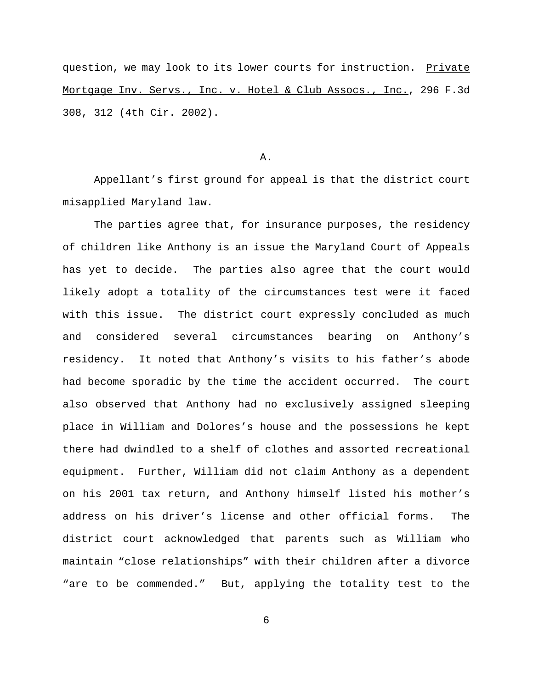question, we may look to its lower courts for instruction. Private Mortgage Inv. Servs., Inc. v. Hotel & Club Assocs., Inc., 296 F.3d 308, 312 (4th Cir. 2002).

# A.

Appellant's first ground for appeal is that the district court misapplied Maryland law.

The parties agree that, for insurance purposes, the residency of children like Anthony is an issue the Maryland Court of Appeals has yet to decide. The parties also agree that the court would likely adopt a totality of the circumstances test were it faced with this issue. The district court expressly concluded as much and considered several circumstances bearing on Anthony's residency. It noted that Anthony's visits to his father's abode had become sporadic by the time the accident occurred. The court also observed that Anthony had no exclusively assigned sleeping place in William and Dolores's house and the possessions he kept there had dwindled to a shelf of clothes and assorted recreational equipment. Further, William did not claim Anthony as a dependent on his 2001 tax return, and Anthony himself listed his mother's address on his driver's license and other official forms. The district court acknowledged that parents such as William who maintain "close relationships" with their children after a divorce "are to be commended." But, applying the totality test to the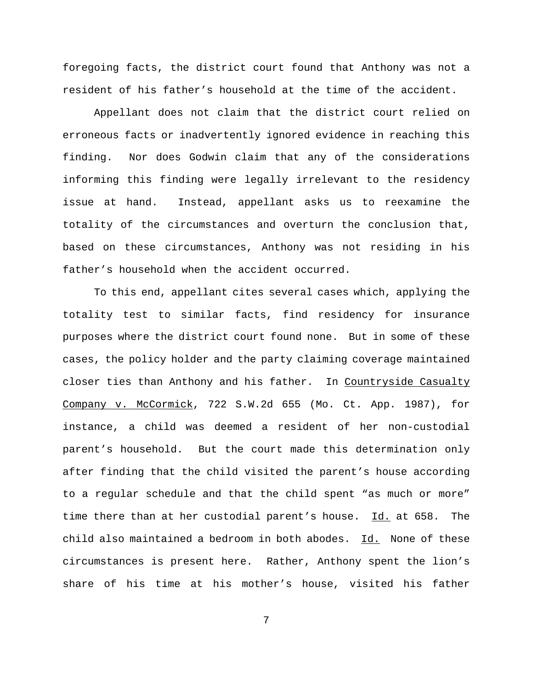foregoing facts, the district court found that Anthony was not a resident of his father's household at the time of the accident.

Appellant does not claim that the district court relied on erroneous facts or inadvertently ignored evidence in reaching this finding. Nor does Godwin claim that any of the considerations informing this finding were legally irrelevant to the residency issue at hand. Instead, appellant asks us to reexamine the totality of the circumstances and overturn the conclusion that, based on these circumstances, Anthony was not residing in his father's household when the accident occurred.

To this end, appellant cites several cases which, applying the totality test to similar facts, find residency for insurance purposes where the district court found none. But in some of these cases, the policy holder and the party claiming coverage maintained closer ties than Anthony and his father. In Countryside Casualty Company v. McCormick, 722 S.W.2d 655 (Mo. Ct. App. 1987), for instance, a child was deemed a resident of her non-custodial parent's household. But the court made this determination only after finding that the child visited the parent's house according to a regular schedule and that the child spent "as much or more" time there than at her custodial parent's house. Id. at 658. The child also maintained a bedroom in both abodes.  $Id.$  None of these circumstances is present here. Rather, Anthony spent the lion's share of his time at his mother's house, visited his father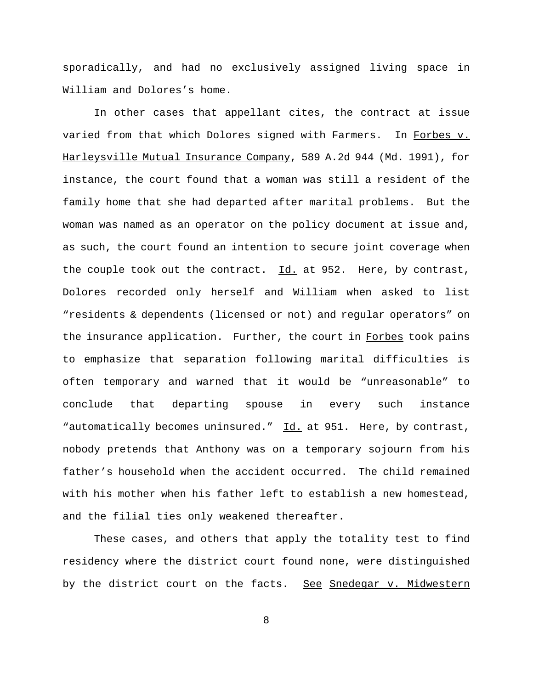sporadically, and had no exclusively assigned living space in William and Dolores's home.

In other cases that appellant cites, the contract at issue varied from that which Dolores signed with Farmers. In Forbes v. Harleysville Mutual Insurance Company, 589 A.2d 944 (Md. 1991), for instance, the court found that a woman was still a resident of the family home that she had departed after marital problems. But the woman was named as an operator on the policy document at issue and, as such, the court found an intention to secure joint coverage when the couple took out the contract.  $Id.$  at 952. Here, by contrast, Dolores recorded only herself and William when asked to list "residents & dependents (licensed or not) and regular operators" on the insurance application. Further, the court in Forbes took pains to emphasize that separation following marital difficulties is often temporary and warned that it would be "unreasonable" to conclude that departing spouse in every such instance "automatically becomes uninsured." Id. at 951. Here, by contrast, nobody pretends that Anthony was on a temporary sojourn from his father's household when the accident occurred. The child remained with his mother when his father left to establish a new homestead, and the filial ties only weakened thereafter.

These cases, and others that apply the totality test to find residency where the district court found none, were distinguished by the district court on the facts. See Snedegar v. Midwestern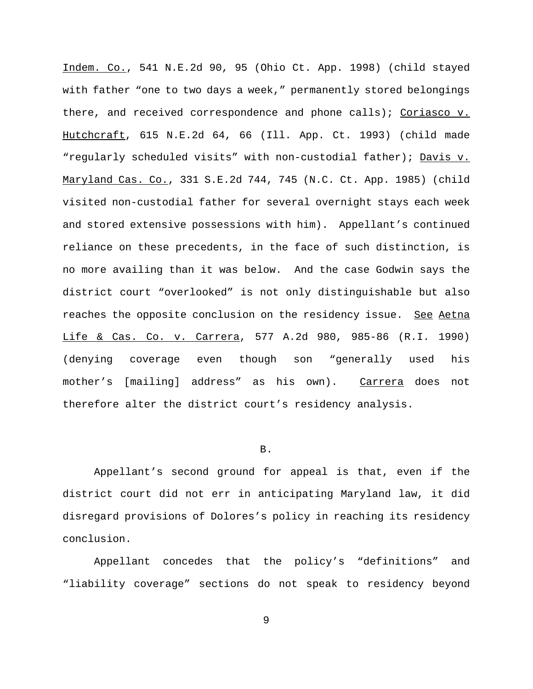Indem. Co., 541 N.E.2d 90, 95 (Ohio Ct. App. 1998) (child stayed with father "one to two days a week," permanently stored belongings there, and received correspondence and phone calls); Coriasco v. Hutchcraft, 615 N.E.2d 64, 66 (Ill. App. Ct. 1993) (child made "regularly scheduled visits" with non-custodial father); Davis v. Maryland Cas. Co., 331 S.E.2d 744, 745 (N.C. Ct. App. 1985) (child visited non-custodial father for several overnight stays each week and stored extensive possessions with him). Appellant's continued reliance on these precedents, in the face of such distinction, is no more availing than it was below. And the case Godwin says the district court "overlooked" is not only distinguishable but also reaches the opposite conclusion on the residency issue. See Aetna Life & Cas. Co. v. Carrera, 577 A.2d 980, 985-86 (R.I. 1990) (denying coverage even though son "generally used his mother's [mailing] address" as his own). Carrera does not therefore alter the district court's residency analysis.

### B.

Appellant's second ground for appeal is that, even if the district court did not err in anticipating Maryland law, it did disregard provisions of Dolores's policy in reaching its residency conclusion.

Appellant concedes that the policy's "definitions" and "liability coverage" sections do not speak to residency beyond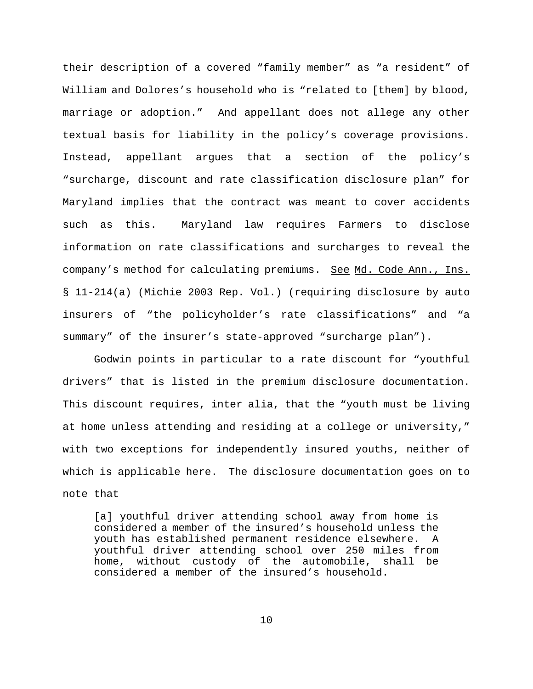their description of a covered "family member" as "a resident" of William and Dolores's household who is "related to [them] by blood, marriage or adoption." And appellant does not allege any other textual basis for liability in the policy's coverage provisions. Instead, appellant argues that a section of the policy's "surcharge, discount and rate classification disclosure plan" for Maryland implies that the contract was meant to cover accidents such as this. Maryland law requires Farmers to disclose information on rate classifications and surcharges to reveal the company's method for calculating premiums. See Md. Code Ann., Ins. § 11-214(a) (Michie 2003 Rep. Vol.) (requiring disclosure by auto insurers of "the policyholder's rate classifications" and "a summary" of the insurer's state-approved "surcharge plan").

Godwin points in particular to a rate discount for "youthful drivers" that is listed in the premium disclosure documentation. This discount requires, inter alia, that the "youth must be living at home unless attending and residing at a college or university," with two exceptions for independently insured youths, neither of which is applicable here. The disclosure documentation goes on to note that

[a] youthful driver attending school away from home is considered a member of the insured's household unless the youth has established permanent residence elsewhere. A youthful driver attending school over 250 miles from home, without custody of the automobile, shall be considered a member of the insured's household.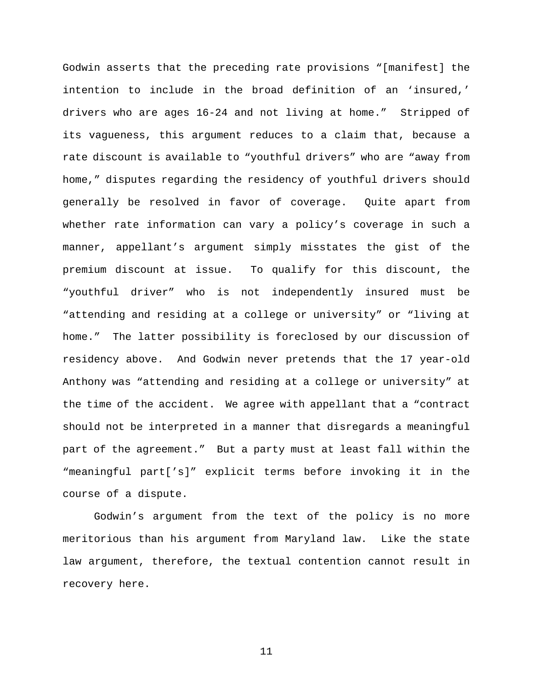Godwin asserts that the preceding rate provisions "[manifest] the intention to include in the broad definition of an 'insured,' drivers who are ages 16-24 and not living at home." Stripped of its vagueness, this argument reduces to a claim that, because a rate discount is available to "youthful drivers" who are "away from home," disputes regarding the residency of youthful drivers should generally be resolved in favor of coverage. Quite apart from whether rate information can vary a policy's coverage in such a manner, appellant's argument simply misstates the gist of the premium discount at issue. To qualify for this discount, the "youthful driver" who is not independently insured must be "attending and residing at a college or university" or "living at home." The latter possibility is foreclosed by our discussion of residency above. And Godwin never pretends that the 17 year-old Anthony was "attending and residing at a college or university" at the time of the accident. We agree with appellant that a "contract should not be interpreted in a manner that disregards a meaningful part of the agreement." But a party must at least fall within the "meaningful part['s]" explicit terms before invoking it in the course of a dispute.

Godwin's argument from the text of the policy is no more meritorious than his argument from Maryland law. Like the state law argument, therefore, the textual contention cannot result in recovery here.